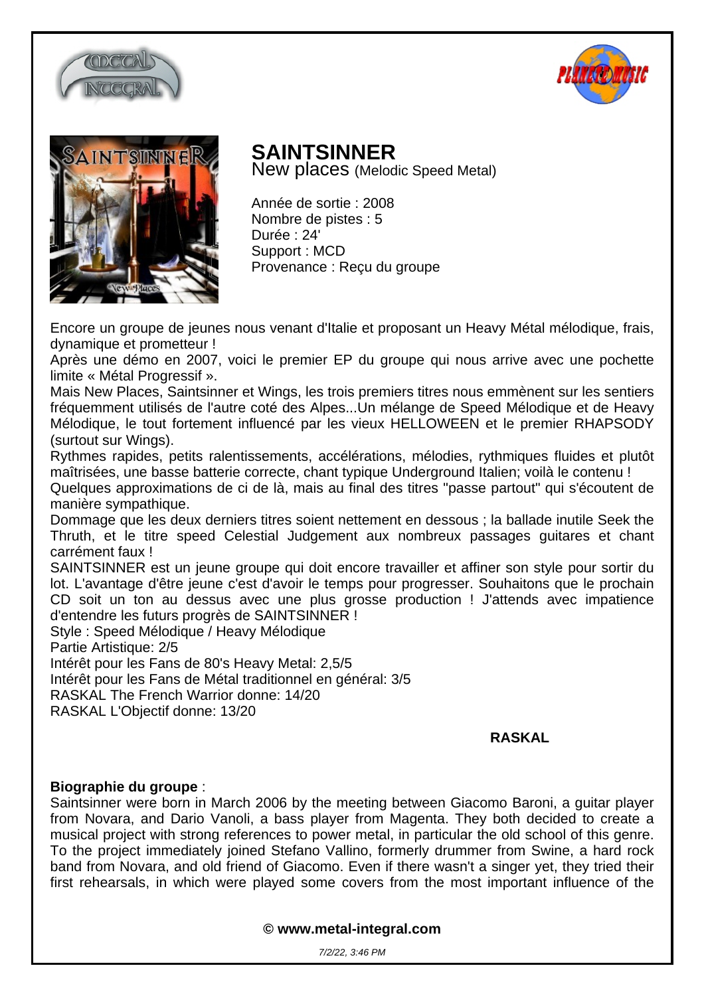





## **SAINTSINNER**

New places (Melodic Speed Metal)

Année de sortie : 2008 Nombre de pistes : 5 Durée : 24' Support : MCD Provenance : Reçu du groupe

Encore un groupe de jeunes nous venant d'Italie et proposant un Heavy Métal mélodique, frais, dynamique et prometteur !

Après une démo en 2007, voici le premier EP du groupe qui nous arrive avec une pochette limite « Métal Progressif ».

Mais New Places, Saintsinner et Wings, les trois premiers titres nous emmènent sur les sentiers fréquemment utilisés de l'autre coté des Alpes...Un mélange de Speed Mélodique et de Heavy Mélodique, le tout fortement influencé par les vieux HELLOWEEN et le premier RHAPSODY (surtout sur Wings).

Rythmes rapides, petits ralentissements, accélérations, mélodies, rythmiques fluides et plutôt maîtrisées, une basse batterie correcte, chant typique Underground Italien; voilà le contenu ! Quelques approximations de ci de là, mais au final des titres "passe partout" qui s'écoutent de

manière sympathique. Dommage que les deux derniers titres soient nettement en dessous ; la ballade inutile Seek the Thruth, et le titre speed Celestial Judgement aux nombreux passages guitares et chant carrément faux !

SAINTSINNER est un jeune groupe qui doit encore travailler et affiner son style pour sortir du lot. L'avantage d'être jeune c'est d'avoir le temps pour progresser. Souhaitons que le prochain CD soit un ton au dessus avec une plus grosse production ! J'attends avec impatience d'entendre les futurs progrès de SAINTSINNER !

Style : Speed Mélodique / Heavy Mélodique

Partie Artistique: 2/5

Intérêt pour les Fans de 80's Heavy Metal: 2,5/5

Intérêt pour les Fans de Métal traditionnel en général: 3/5

RASKAL The French Warrior donne: 14/20

RASKAL L'Objectif donne: 13/20

## **RASKAL**

## **Biographie du groupe** :

Saintsinner were born in March 2006 by the meeting between Giacomo Baroni, a guitar player from Novara, and Dario Vanoli, a bass player from Magenta. They both decided to create a musical project with strong references to power metal, in particular the old school of this genre. To the project immediately joined Stefano Vallino, formerly drummer from Swine, a hard rock band from Novara, and old friend of Giacomo. Even if there wasn't a singer yet, they tried their first rehearsals, in which were played some covers from the most important influence of the

**© www.metal-integral.com**

7/2/22, 3:46 PM